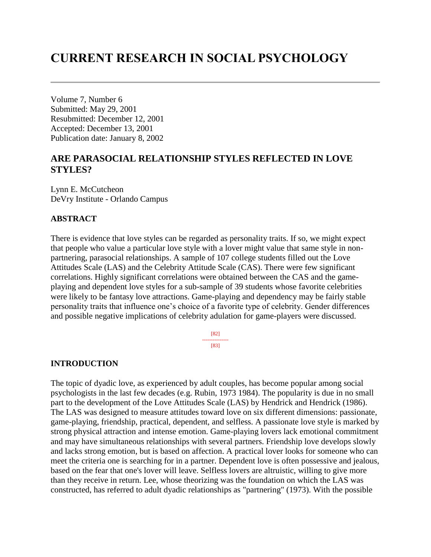# **CURRENT RESEARCH IN SOCIAL PSYCHOLOGY**

Volume 7, Number 6 Submitted: May 29, 2001 Resubmitted: December 12, 2001 Accepted: December 13, 2001 Publication date: January 8, 2002

# **ARE PARASOCIAL RELATIONSHIP STYLES REFLECTED IN LOVE STYLES?**

Lynn E. McCutcheon DeVry Institute - Orlando Campus

### **ABSTRACT**

There is evidence that love styles can be regarded as personality traits. If so, we might expect that people who value a particular love style with a lover might value that same style in nonpartnering, parasocial relationships. A sample of 107 college students filled out the Love Attitudes Scale (LAS) and the Celebrity Attitude Scale (CAS). There were few significant correlations. Highly significant correlations were obtained between the CAS and the gameplaying and dependent love styles for a sub-sample of 39 students whose favorite celebrities were likely to be fantasy love attractions. Game-playing and dependency may be fairly stable personality traits that influence one's choice of a favorite type of celebrity. Gender differences and possible negative implications of celebrity adulation for game-players were discussed.

> [82] --------------- [83]

#### **INTRODUCTION**

The topic of dyadic love, as experienced by adult couples, has become popular among social psychologists in the last few decades (e.g. Rubin, 1973 1984). The popularity is due in no small part to the development of the Love Attitudes Scale (LAS) by Hendrick and Hendrick (1986). The LAS was designed to measure attitudes toward love on six different dimensions: passionate, game-playing, friendship, practical, dependent, and selfless. A passionate love style is marked by strong physical attraction and intense emotion. Game-playing lovers lack emotional commitment and may have simultaneous relationships with several partners. Friendship love develops slowly and lacks strong emotion, but is based on affection. A practical lover looks for someone who can meet the criteria one is searching for in a partner. Dependent love is often possessive and jealous, based on the fear that one's lover will leave. Selfless lovers are altruistic, willing to give more than they receive in return. Lee, whose theorizing was the foundation on which the LAS was constructed, has referred to adult dyadic relationships as "partnering" (1973). With the possible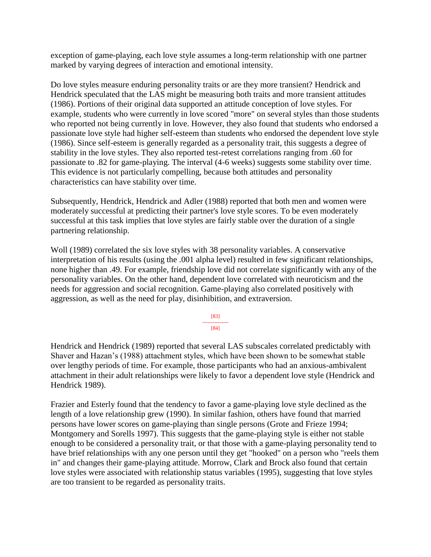exception of game-playing, each love style assumes a long-term relationship with one partner marked by varying degrees of interaction and emotional intensity.

Do love styles measure enduring personality traits or are they more transient? Hendrick and Hendrick speculated that the LAS might be measuring both traits and more transient attitudes (1986). Portions of their original data supported an attitude conception of love styles. For example, students who were currently in love scored "more" on several styles than those students who reported not being currently in love. However, they also found that students who endorsed a passionate love style had higher self-esteem than students who endorsed the dependent love style (1986). Since self-esteem is generally regarded as a personality trait, this suggests a degree of stability in the love styles. They also reported test-retest correlations ranging from .60 for passionate to .82 for game-playing. The interval (4-6 weeks) suggests some stability over time. This evidence is not particularly compelling, because both attitudes and personality characteristics can have stability over time.

Subsequently, Hendrick, Hendrick and Adler (1988) reported that both men and women were moderately successful at predicting their partner's love style scores. To be even moderately successful at this task implies that love styles are fairly stable over the duration of a single partnering relationship.

Woll (1989) correlated the six love styles with 38 personality variables. A conservative interpretation of his results (using the .001 alpha level) resulted in few significant relationships, none higher than .49. For example, friendship love did not correlate significantly with any of the personality variables. On the other hand, dependent love correlated with neuroticism and the needs for aggression and social recognition. Game-playing also correlated positively with aggression, as well as the need for play, disinhibition, and extraversion.

> [83] --------------- [84]

Hendrick and Hendrick (1989) reported that several LAS subscales correlated predictably with Shaver and Hazan's (1988) attachment styles, which have been shown to be somewhat stable over lengthy periods of time. For example, those participants who had an anxious-ambivalent attachment in their adult relationships were likely to favor a dependent love style (Hendrick and Hendrick 1989).

Frazier and Esterly found that the tendency to favor a game-playing love style declined as the length of a love relationship grew (1990). In similar fashion, others have found that married persons have lower scores on game-playing than single persons (Grote and Frieze 1994; Montgomery and Sorells 1997). This suggests that the game-playing style is either not stable enough to be considered a personality trait, or that those with a game-playing personality tend to have brief relationships with any one person until they get "hooked" on a person who "reels them in" and changes their game-playing attitude. Morrow, Clark and Brock also found that certain love styles were associated with relationship status variables (1995), suggesting that love styles are too transient to be regarded as personality traits.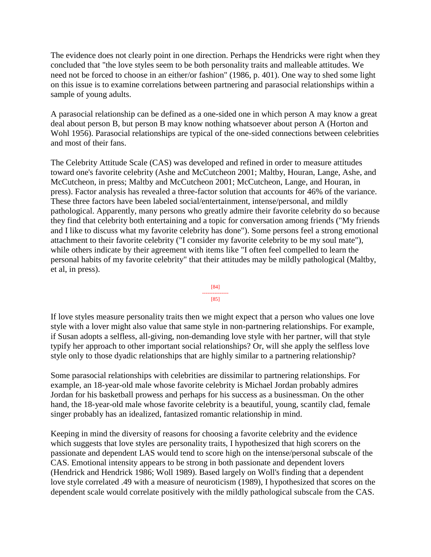The evidence does not clearly point in one direction. Perhaps the Hendricks were right when they concluded that "the love styles seem to be both personality traits and malleable attitudes. We need not be forced to choose in an either/or fashion" (1986, p. 401). One way to shed some light on this issue is to examine correlations between partnering and parasocial relationships within a sample of young adults.

A parasocial relationship can be defined as a one-sided one in which person A may know a great deal about person B, but person B may know nothing whatsoever about person A (Horton and Wohl 1956). Parasocial relationships are typical of the one-sided connections between celebrities and most of their fans.

The Celebrity Attitude Scale (CAS) was developed and refined in order to measure attitudes toward one's favorite celebrity (Ashe and McCutcheon 2001; Maltby, Houran, Lange, Ashe, and McCutcheon, in press; Maltby and McCutcheon 2001; McCutcheon, Lange, and Houran, in press). Factor analysis has revealed a three-factor solution that accounts for 46% of the variance. These three factors have been labeled social/entertainment, intense/personal, and mildly pathological. Apparently, many persons who greatly admire their favorite celebrity do so because they find that celebrity both entertaining and a topic for conversation among friends ("My friends and I like to discuss what my favorite celebrity has done"). Some persons feel a strong emotional attachment to their favorite celebrity ("I consider my favorite celebrity to be my soul mate"), while others indicate by their agreement with items like "I often feel compelled to learn the personal habits of my favorite celebrity" that their attitudes may be mildly pathological (Maltby, et al, in press).



If love styles measure personality traits then we might expect that a person who values one love style with a lover might also value that same style in non-partnering relationships. For example, if Susan adopts a selfless, all-giving, non-demanding love style with her partner, will that style typify her approach to other important social relationships? Or, will she apply the selfless love style only to those dyadic relationships that are highly similar to a partnering relationship?

Some parasocial relationships with celebrities are dissimilar to partnering relationships. For example, an 18-year-old male whose favorite celebrity is Michael Jordan probably admires Jordan for his basketball prowess and perhaps for his success as a businessman. On the other hand, the 18-year-old male whose favorite celebrity is a beautiful, young, scantily clad, female singer probably has an idealized, fantasized romantic relationship in mind.

Keeping in mind the diversity of reasons for choosing a favorite celebrity and the evidence which suggests that love styles are personality traits, I hypothesized that high scorers on the passionate and dependent LAS would tend to score high on the intense/personal subscale of the CAS. Emotional intensity appears to be strong in both passionate and dependent lovers (Hendrick and Hendrick 1986; Woll 1989). Based largely on Woll's finding that a dependent love style correlated .49 with a measure of neuroticism (1989), I hypothesized that scores on the dependent scale would correlate positively with the mildly pathological subscale from the CAS.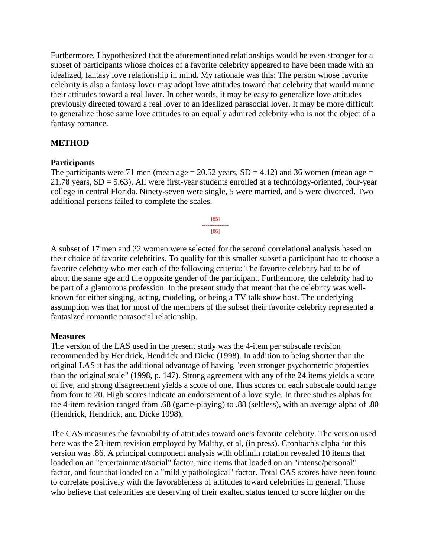Furthermore, I hypothesized that the aforementioned relationships would be even stronger for a subset of participants whose choices of a favorite celebrity appeared to have been made with an idealized, fantasy love relationship in mind. My rationale was this: The person whose favorite celebrity is also a fantasy lover may adopt love attitudes toward that celebrity that would mimic their attitudes toward a real lover. In other words, it may be easy to generalize love attitudes previously directed toward a real lover to an idealized parasocial lover. It may be more difficult to generalize those same love attitudes to an equally admired celebrity who is not the object of a fantasy romance.

# **METHOD**

#### **Participants**

The participants were 71 men (mean age  $= 20.52$  years, SD  $= 4.12$ ) and 36 women (mean age  $=$ 21.78 years, SD = 5.63). All were first-year students enrolled at a technology-oriented, four-year college in central Florida. Ninety-seven were single, 5 were married, and 5 were divorced. Two additional persons failed to complete the scales.



A subset of 17 men and 22 women were selected for the second correlational analysis based on their choice of favorite celebrities. To qualify for this smaller subset a participant had to choose a favorite celebrity who met each of the following criteria: The favorite celebrity had to be of about the same age and the opposite gender of the participant. Furthermore, the celebrity had to be part of a glamorous profession. In the present study that meant that the celebrity was wellknown for either singing, acting, modeling, or being a TV talk show host. The underlying assumption was that for most of the members of the subset their favorite celebrity represented a fantasized romantic parasocial relationship.

#### **Measures**

The version of the LAS used in the present study was the 4-item per subscale revision recommended by Hendrick, Hendrick and Dicke (1998). In addition to being shorter than the original LAS it has the additional advantage of having "even stronger psychometric properties than the original scale" (1998, p. 147). Strong agreement with any of the 24 items yields a score of five, and strong disagreement yields a score of one. Thus scores on each subscale could range from four to 20. High scores indicate an endorsement of a love style. In three studies alphas for the 4-item revision ranged from .68 (game-playing) to .88 (selfless), with an average alpha of .80 (Hendrick, Hendrick, and Dicke 1998).

The CAS measures the favorability of attitudes toward one's favorite celebrity. The version used here was the 23-item revision employed by Maltby, et al, (in press). Cronbach's alpha for this version was .86. A principal component analysis with oblimin rotation revealed 10 items that loaded on an "entertainment/social" factor, nine items that loaded on an "intense/personal" factor, and four that loaded on a "mildly pathological" factor. Total CAS scores have been found to correlate positively with the favorableness of attitudes toward celebrities in general. Those who believe that celebrities are deserving of their exalted status tended to score higher on the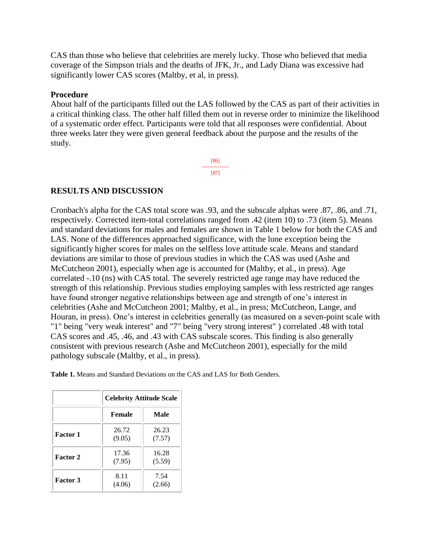CAS than those who believe that celebrities are merely lucky. Those who believed that media coverage of the Simpson trials and the deaths of JFK, Jr., and Lady Diana was excessive had significantly lower CAS scores (Maltby, et al, in press).

#### **Procedure**

About half of the participants filled out the LAS followed by the CAS as part of their activities in a critical thinking class. The other half filled them out in reverse order to minimize the likelihood of a systematic order effect. Participants were told that all responses were confidential. About three weeks later they were given general feedback about the purpose and the results of the study.

> [86] --------------- [87]

# **RESULTS AND DISCUSSION**

Cronbach's alpha for the CAS total score was .93, and the subscale alphas were .87, .86, and .71, respectively. Corrected item-total correlations ranged from .42 (item 10) to .73 (item 5). Means and standard deviations for males and females are shown in Table 1 below for both the CAS and LAS. None of the differences approached significance, with the lone exception being the significantly higher scores for males on the selfless love attitude scale. Means and standard deviations are similar to those of previous studies in which the CAS was used (Ashe and McCutcheon 2001), especially when age is accounted for (Maltby, et al., in press). Age correlated -.10 (ns) with CAS total. The severely restricted age range may have reduced the strength of this relationship. Previous studies employing samples with less restricted age ranges have found stronger negative relationships between age and strength of one's interest in celebrities (Ashe and McCutcheon 2001; Maltby, et al., in press; McCutcheon, Lange, and Houran, in press). One's interest in celebrities generally (as measured on a seven-point scale with "1" being "very weak interest" and "7" being "very strong interest" ) correlated .48 with total CAS scores and .45, .46, and .43 with CAS subscale scores. This finding is also generally consistent with previous research (Ashe and McCutcheon 2001), especially for the mild pathology subscale (Maltby, et al., in press).

**Table 1.** Means and Standard Deviations on the CAS and LAS for Both Genders.

|                 | <b>Celebrity Attitude Scale</b> |                 |  |  |  |
|-----------------|---------------------------------|-----------------|--|--|--|
|                 | <b>Female</b>                   | Male            |  |  |  |
| Factor 1        | 26.72<br>(9.05)                 | 26.23<br>(7.57) |  |  |  |
| <b>Factor 2</b> | 17.36<br>(7.95)                 | 16.28<br>(5.59) |  |  |  |
| <b>Factor 3</b> | 8.11<br>(4.06)                  | 7.54<br>(2.66)  |  |  |  |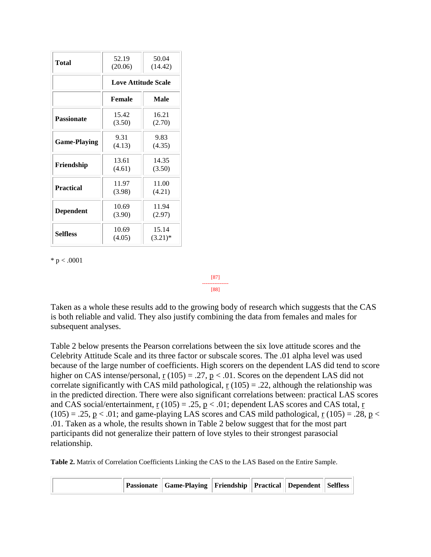| Total               | 52.19<br>(20.06)           | 50.04<br>(14.42)    |  |  |  |  |
|---------------------|----------------------------|---------------------|--|--|--|--|
|                     | <b>Love Attitude Scale</b> |                     |  |  |  |  |
|                     | Female                     | Male                |  |  |  |  |
| <b>Passionate</b>   | 15.42<br>(3.50)            | 16.21<br>(2.70)     |  |  |  |  |
| <b>Game-Playing</b> | 9.31<br>(4.13)             | 9.83<br>(4.35)      |  |  |  |  |
| Friendship          | 13.61<br>(4.61)            | 14.35<br>(3.50)     |  |  |  |  |
| <b>Practical</b>    | 11.97<br>(3.98)            | 11.00<br>(4.21)     |  |  |  |  |
| <b>Dependent</b>    | 10.69<br>(3.90)            | 11.94<br>(2.97)     |  |  |  |  |
| <b>Selfless</b>     | 10.69<br>(4.05)            | 15.14<br>$(3.21)^*$ |  |  |  |  |

 $* p < .0001$ 

Taken as a whole these results add to the growing body of research which suggests that the CAS is both reliable and valid. They also justify combining the data from females and males for subsequent analyses.

[87] --------------- [88]

Table 2 below presents the Pearson correlations between the six love attitude scores and the Celebrity Attitude Scale and its three factor or subscale scores. The .01 alpha level was used because of the large number of coefficients. High scorers on the dependent LAS did tend to score higher on CAS intense/personal,  $r(105) = .27$ ,  $p < .01$ . Scores on the dependent LAS did not correlate significantly with CAS mild pathological,  $r(105) = .22$ , although the relationship was in the predicted direction. There were also significant correlations between: practical LAS scores and CAS social/entertainment,  $\underline{r}$  (105) = .25,  $\underline{p}$  < .01; dependent LAS scores and CAS total,  $\underline{r}$  $(105) = .25$ ,  $p < .01$ ; and game-playing LAS scores and CAS mild pathological, r  $(105) = .28$ ,  $p <$ .01. Taken as a whole, the results shown in Table 2 below suggest that for the most part participants did not generalize their pattern of love styles to their strongest parasocial relationship.

**Table 2.** Matrix of Correlation Coefficients Linking the CAS to the LAS Based on the Entire Sample.

|  | Passionate    Game-Playing    Friendship    Practical    Dependent    Selfless |  |  |  |  |  |
|--|--------------------------------------------------------------------------------|--|--|--|--|--|
|--|--------------------------------------------------------------------------------|--|--|--|--|--|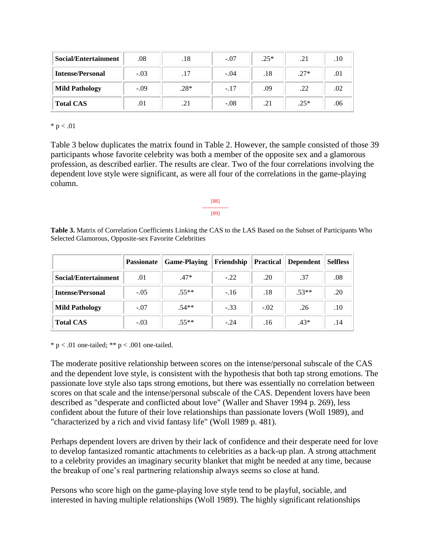| Social/Entertainment    | .08    | .18    | $-.07$ | $.25*$ | .21    | .10 |
|-------------------------|--------|--------|--------|--------|--------|-----|
| <b>Intense/Personal</b> | $-.03$ | .17    | $-.04$ | .18    | $.27*$ | .01 |
| <b>Mild Pathology</b>   | $-.09$ | $.28*$ | $-.17$ | .09    | .22    | .02 |
| <b>Total CAS</b>        | .01    | .21    | $-.08$ | .21    | $.25*$ | .06 |

 $* p < .01$ 

Table 3 below duplicates the matrix found in Table 2. However, the sample consisted of those 39 participants whose favorite celebrity was both a member of the opposite sex and a glamorous profession, as described earlier. The results are clear. Two of the four correlations involving the dependent love style were significant, as were all four of the correlations in the game-playing column.

#### [88] --------------- [89]

**Table 3.** Matrix of Correlation Coefficients Linking the CAS to the LAS Based on the Subset of Participants Who Selected Glamorous, Opposite-sex Favorite Celebrities

|                         | <b>Passionate</b> | <b>Game-Playing</b> | Friendship | <b>Practical</b> | <b>Dependent</b> | <b>Selfless</b> |
|-------------------------|-------------------|---------------------|------------|------------------|------------------|-----------------|
| Social/Entertainment    | .01               | $.47*$              | $-.22$     | .20              | .37              | .08             |
| <b>Intense/Personal</b> | $-.05$            | $.55**$             | $-16$      | .18              | $.53**$          | .20             |
| <b>Mild Pathology</b>   | $-.07$            | $.54**$             | $-.33$     | $-.02$           | .26              | .10             |
| <b>Total CAS</b>        | $-.03$            | $.55**$             | $-.24$     | .16              | $.43*$           | .14             |

 $* p < .01$  one-tailed;  $** p < .001$  one-tailed.

The moderate positive relationship between scores on the intense/personal subscale of the CAS and the dependent love style, is consistent with the hypothesis that both tap strong emotions. The passionate love style also taps strong emotions, but there was essentially no correlation between scores on that scale and the intense/personal subscale of the CAS. Dependent lovers have been described as "desperate and conflicted about love" (Waller and Shaver 1994 p. 269), less confident about the future of their love relationships than passionate lovers (Woll 1989), and "characterized by a rich and vivid fantasy life" (Woll 1989 p. 481).

Perhaps dependent lovers are driven by their lack of confidence and their desperate need for love to develop fantasized romantic attachments to celebrities as a back-up plan. A strong attachment to a celebrity provides an imaginary security blanket that might be needed at any time, because the breakup of one's real partnering relationship always seems so close at hand.

Persons who score high on the game-playing love style tend to be playful, sociable, and interested in having multiple relationships (Woll 1989). The highly significant relationships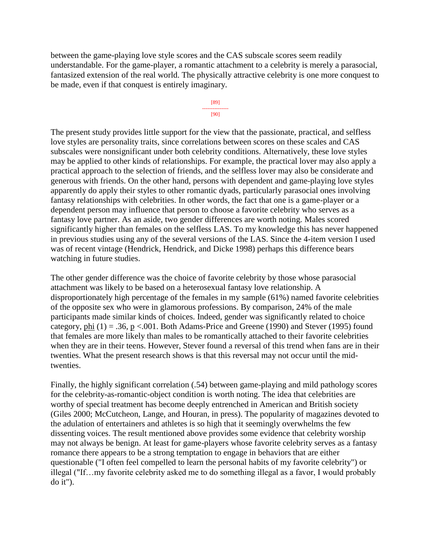between the game-playing love style scores and the CAS subscale scores seem readily understandable. For the game-player, a romantic attachment to a celebrity is merely a parasocial, fantasized extension of the real world. The physically attractive celebrity is one more conquest to be made, even if that conquest is entirely imaginary.



The present study provides little support for the view that the passionate, practical, and selfless love styles are personality traits, since correlations between scores on these scales and CAS subscales were nonsignificant under both celebrity conditions. Alternatively, these love styles may be applied to other kinds of relationships. For example, the practical lover may also apply a practical approach to the selection of friends, and the selfless lover may also be considerate and generous with friends. On the other hand, persons with dependent and game-playing love styles apparently do apply their styles to other romantic dyads, particularly parasocial ones involving fantasy relationships with celebrities. In other words, the fact that one is a game-player or a dependent person may influence that person to choose a favorite celebrity who serves as a fantasy love partner. As an aside, two gender differences are worth noting. Males scored significantly higher than females on the selfless LAS. To my knowledge this has never happened in previous studies using any of the several versions of the LAS. Since the 4-item version I used was of recent vintage (Hendrick, Hendrick, and Dicke 1998) perhaps this difference bears watching in future studies.

The other gender difference was the choice of favorite celebrity by those whose parasocial attachment was likely to be based on a heterosexual fantasy love relationship. A disproportionately high percentage of the females in my sample (61%) named favorite celebrities of the opposite sex who were in glamorous professions. By comparison, 24% of the male participants made similar kinds of choices. Indeed, gender was significantly related to choice category, phi  $(1) = .36$ ,  $p < .001$ . Both Adams-Price and Greene (1990) and Stever (1995) found that females are more likely than males to be romantically attached to their favorite celebrities when they are in their teens. However, Stever found a reversal of this trend when fans are in their twenties. What the present research shows is that this reversal may not occur until the midtwenties.

Finally, the highly significant correlation (.54) between game-playing and mild pathology scores for the celebrity-as-romantic-object condition is worth noting. The idea that celebrities are worthy of special treatment has become deeply entrenched in American and British society (Giles 2000; McCutcheon, Lange, and Houran, in press). The popularity of magazines devoted to the adulation of entertainers and athletes is so high that it seemingly overwhelms the few dissenting voices. The result mentioned above provides some evidence that celebrity worship may not always be benign. At least for game-players whose favorite celebrity serves as a fantasy romance there appears to be a strong temptation to engage in behaviors that are either questionable ("I often feel compelled to learn the personal habits of my favorite celebrity") or illegal ("If…my favorite celebrity asked me to do something illegal as a favor, I would probably do it").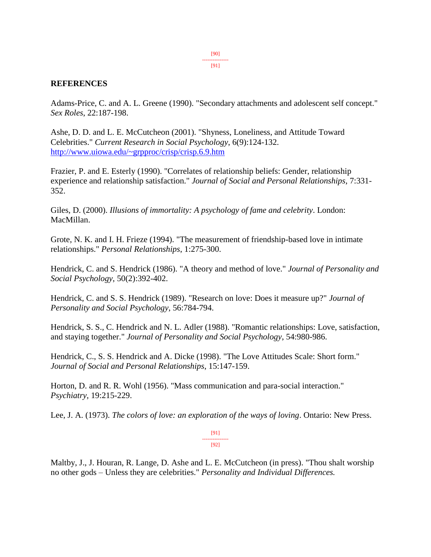[90] --------------- [91]

#### **REFERENCES**

Adams-Price, C. and A. L. Greene (1990). "Secondary attachments and adolescent self concept." *Sex Roles*, 22:187-198.

Ashe, D. D. and L. E. McCutcheon (2001). "Shyness, Loneliness, and Attitude Toward Celebrities." *Current Research in Social Psychology*, 6(9):124-132. <http://www.uiowa.edu/~grpproc/crisp/crisp.6.9.htm>

Frazier, P. and E. Esterly (1990). "Correlates of relationship beliefs: Gender, relationship experience and relationship satisfaction." *Journal of Social and Personal Relationships*, 7:331- 352.

Giles, D. (2000). *Illusions of immortality: A psychology of fame and celebrity*. London: MacMillan.

Grote, N. K. and I. H. Frieze (1994). "The measurement of friendship-based love in intimate relationships." *Personal Relationships*, 1:275-300.

Hendrick, C. and S. Hendrick (1986). "A theory and method of love." *Journal of Personality and Social Psychology*, 50(2):392-402.

Hendrick, C. and S. S. Hendrick (1989). "Research on love: Does it measure up?" *Journal of Personality and Social Psychology*, 56:784-794.

Hendrick, S. S., C. Hendrick and N. L. Adler (1988). "Romantic relationships: Love, satisfaction, and staying together." *Journal of Personality and Social Psychology*, 54:980-986.

Hendrick, C., S. S. Hendrick and A. Dicke (1998). "The Love Attitudes Scale: Short form." *Journal of Social and Personal Relationships*, 15:147-159.

Horton, D. and R. R. Wohl (1956). "Mass communication and para-social interaction." *Psychiatry*, 19:215-229.

Lee, J. A. (1973). *The colors of love: an exploration of the ways of loving*. Ontario: New Press.

[91] --------------- [92]

Maltby, J., J. Houran, R. Lange, D. Ashe and L. E. McCutcheon (in press). "Thou shalt worship no other gods – Unless they are celebrities." *Personality and Individual Differences.*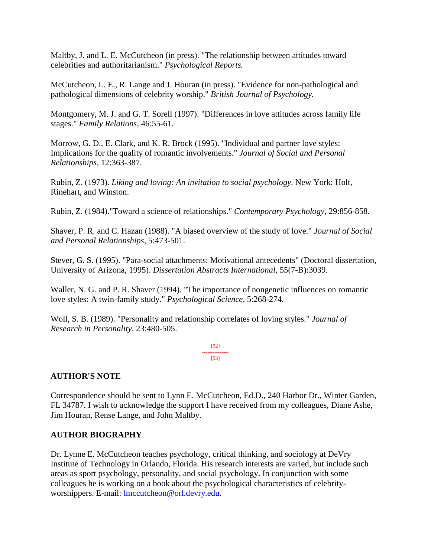Maltby, J. and L. E. McCutcheon (in press). "The relationship between attitudes toward celebrities and authoritarianism." *Psychological Reports.* 

McCutcheon, L. E., R. Lange and J. Houran (in press). "Evidence for non-pathological and pathological dimensions of celebrity worship." *British Journal of Psychology.*

Montgomery, M. J. and G. T. Sorell (1997). "Differences in love attitudes across family life stages." *Family Relations,* 46:55-61.

Morrow, G. D., E. Clark, and K. R. Brock (1995). "Individual and partner love styles: Implications for the quality of romantic involvements." *Journal of Social and Personal Relationships*, 12:363-387.

Rubin, Z. (1973). *Liking and loving: An invitation to social psychology.* New York: Holt, Rinehart, and Winston.

Rubin, Z. (1984)."Toward a science of relationships." *Contemporary Psychology*, 29:856-858.

Shaver, P. R. and C. Hazan (1988). "A biased overview of the study of love." *Journal of Social and Personal Relationships*, 5:473-501.

Stever, G. S. (1995). "Para-social attachments: Motivational antecedents" (Doctoral dissertation, University of Arizona, 1995). *Dissertation Abstracts International*, 55(7-B):3039.

Waller, N. G. and P. R. Shaver (1994). "The importance of nongenetic influences on romantic love styles: A twin-family study." *Psychological Science*, 5:268-274.

Woll, S. B. (1989). "Personality and relationship correlates of loving styles." *Journal of Research in Personality,* 23:480-505.

> [92] --------------- [93]

# **AUTHOR'S NOTE**

Correspondence should be sent to Lynn E. McCutcheon, Ed.D., 240 Harbor Dr., Winter Garden, FL 34787. I wish to acknowledge the support I have received from my colleagues, Diane Ashe, Jim Houran, Rense Lange, and John Maltby.

# **AUTHOR BIOGRAPHY**

Dr. Lynne E. McCutcheon teaches psychology, critical thinking, and sociology at DeVry Institute of Technology in Orlando, Florida. His research interests are varied, but include such areas as sport psychology, personality, and social psychology. In conjunction with some colleagues he is working on a book about the psychological characteristics of celebrityworshippers. E-mail: [lmccutcheon@orl.devry.edu.](mailto:lmccutcheon@orl.devry.edu)